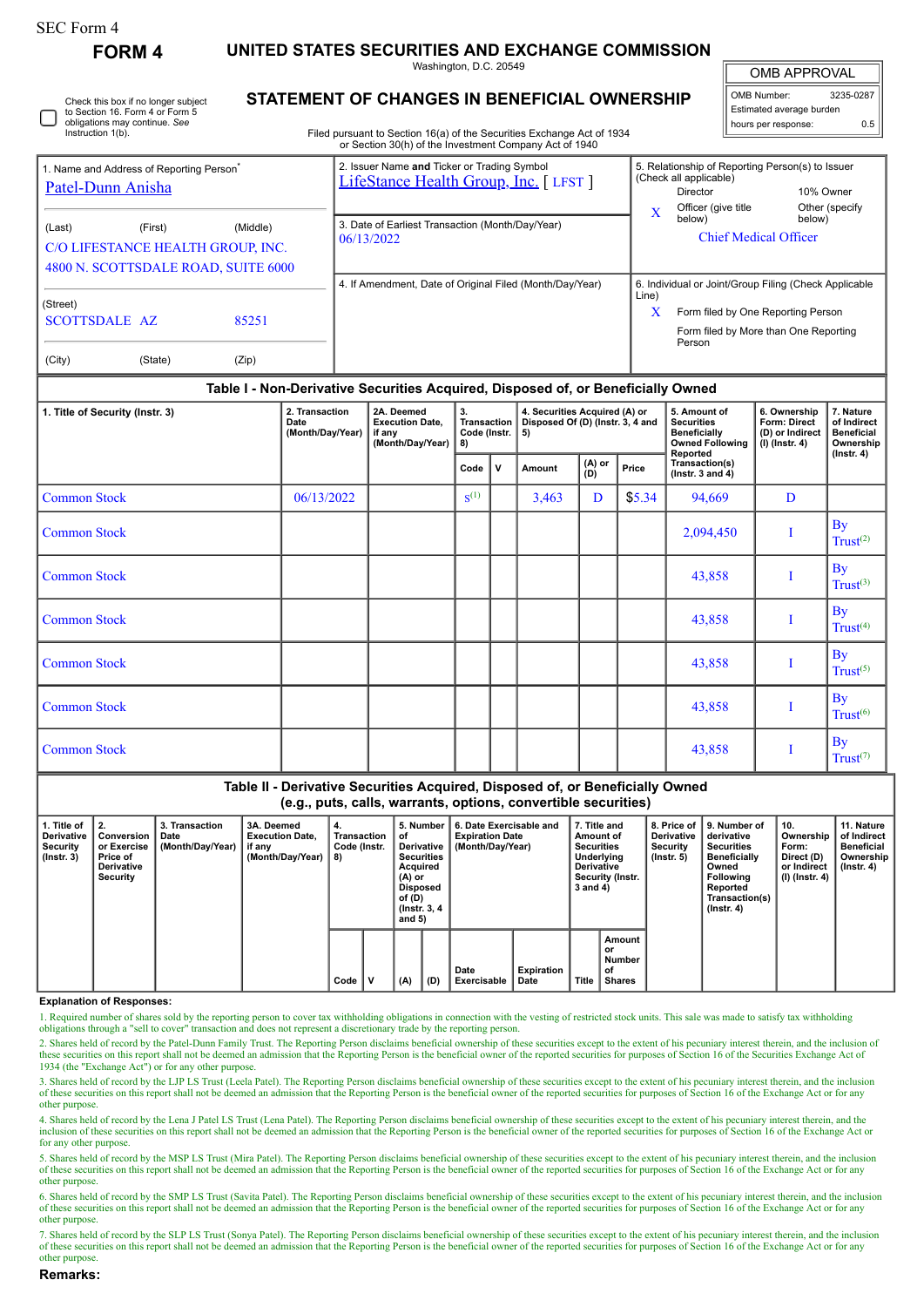**FORM 4 UNITED STATES SECURITIES AND EXCHANGE COMMISSION**

Washington, D.C. 20549

Check this box if no longer subject to Section 16. Form 4 or Form 5 obligations may continue. *See* Instruction 1(b).

## **STATEMENT OF CHANGES IN BENEFICIAL OWNERSHIP**

Filed pursuant to Section 16(a) of the Securities Exchange Act of 1934 or Section 30(h) of the Investment Company Act of 1940

| <b>OMB APPROVAL</b> |
|---------------------|
|                     |

| OMB Number:              | 3235-0287 |  |  |  |  |  |  |
|--------------------------|-----------|--|--|--|--|--|--|
| Estimated average burden |           |  |  |  |  |  |  |
| hours per response:      | 0.5       |  |  |  |  |  |  |

|                                                                           |                                                                                                 |                | or occability of the investment company Act or 1940                                 |            |                                                                                                                                                |                           |
|---------------------------------------------------------------------------|-------------------------------------------------------------------------------------------------|----------------|-------------------------------------------------------------------------------------|------------|------------------------------------------------------------------------------------------------------------------------------------------------|---------------------------|
| 1. Name and Address of Reporting Person <sup>®</sup><br>Patel-Dunn Anisha |                                                                                                 |                | 2. Issuer Name and Ticker or Trading Symbol<br>LifeStance Health Group, Inc. [LFST] |            | 5. Relationship of Reporting Person(s) to Issuer<br>(Check all applicable)<br>Director                                                         | 10% Owner                 |
| (Last)                                                                    | (Middle)<br>(First)<br>C/O LIFESTANCE HEALTH GROUP, INC.<br>4800 N. SCOTTSDALE ROAD, SUITE 6000 |                | 3. Date of Earliest Transaction (Month/Day/Year)<br>06/13/2022                      | $\rm\,X$   | Officer (give title<br>below)<br><b>Chief Medical Officer</b>                                                                                  | Other (specify)<br>below) |
| (Street)<br><b>SCOTTSDALE AZ</b><br>(City)                                | (State)                                                                                         | 85251<br>(Zip) | 4. If Amendment, Date of Original Filed (Month/Day/Year)                            | Line)<br>x | 6. Individual or Joint/Group Filing (Check Applicable<br>Form filed by One Reporting Person<br>Form filed by More than One Reporting<br>Person |                           |

## **Table I - Non-Derivative Securities Acquired, Disposed of, or Beneficially Owned**

| 1. Title of Security (Instr. 3) | 2. Transaction<br>Date<br>(Month/Day/Year) | 2A. Deemed<br><b>Execution Date,</b><br>if any<br>(Month/Day/Year) | 3.<br>4. Securities Acquired (A) or<br>Transaction<br>Disposed Of (D) (Instr. 3, 4 and<br>Code (Instr.<br>5)<br>8) |             |        |               | 5. Amount of<br><b>Securities</b><br><b>Beneficially</b><br><b>Owned Following</b><br>Reported | 6. Ownership<br>Form: Direct<br>(D) or Indirect<br>$(I)$ (Instr. 4) | 7. Nature<br>of Indirect<br><b>Beneficial</b><br>Ownership<br>$($ Instr. 4 $)$ |                                   |
|---------------------------------|--------------------------------------------|--------------------------------------------------------------------|--------------------------------------------------------------------------------------------------------------------|-------------|--------|---------------|------------------------------------------------------------------------------------------------|---------------------------------------------------------------------|--------------------------------------------------------------------------------|-----------------------------------|
|                                 |                                            |                                                                    | Code                                                                                                               | $\mathbf v$ | Amount | (A) or<br>(D) | Price                                                                                          | Transaction(s)<br>( $lnstr. 3 and 4$ )                              |                                                                                |                                   |
| <b>Common Stock</b>             | 06/13/2022                                 |                                                                    | $S^{(1)}$                                                                                                          |             | 3,463  | D             | \$5.34                                                                                         | 94,669                                                              | D                                                                              |                                   |
| <b>Common Stock</b>             |                                            |                                                                    |                                                                                                                    |             |        |               |                                                                                                | 2,094,450                                                           |                                                                                | <b>By</b><br>Trust <sup>(2)</sup> |
| <b>Common Stock</b>             |                                            |                                                                    |                                                                                                                    |             |        |               |                                                                                                | 43,858                                                              |                                                                                | By<br>Trust <sup>(3)</sup>        |
| <b>Common Stock</b>             |                                            |                                                                    |                                                                                                                    |             |        |               |                                                                                                | 43,858                                                              |                                                                                | <b>By</b><br>Trust <sup>(4)</sup> |
| <b>Common Stock</b>             |                                            |                                                                    |                                                                                                                    |             |        |               |                                                                                                | 43,858                                                              |                                                                                | <b>By</b><br>$Trust^{(5)}$        |
| <b>Common Stock</b>             |                                            |                                                                    |                                                                                                                    |             |        |               |                                                                                                | 43,858                                                              |                                                                                | <b>By</b><br>Trust <sup>(6)</sup> |
| <b>Common Stock</b>             |                                            |                                                                    |                                                                                                                    |             |        |               |                                                                                                | 43,858                                                              |                                                                                | <b>By</b><br>Trust <sup>(7)</sup> |

| Table II - Derivative Securities Acquired, Disposed of, or Beneficially Owned |
|-------------------------------------------------------------------------------|
| (e.g., puts, calls, warrants, options, convertible securities)                |

| 1. Title of<br><b>Derivative</b><br>Security<br>$($ lnstr. 3 $)$ | Conversion<br>or Exercise<br>Price of<br><b>Derivative</b><br>Security | 3. Transaction<br>Date<br>(Month/Day/Year) | 3A. Deemed<br><b>Execution Date.</b><br>if any<br>(Month/Day/Year) | 4.<br>Transaction<br>Code (Instr.<br>8) |   | 5. Number<br>οf<br>Derivative<br><b>Securities</b><br>Acquired<br>(A) or<br><b>Disposed</b><br>of (D)<br>(Instr. 3, 4)<br>and $5)$ |     | 6. Date Exercisable and<br><b>Expiration Date</b><br>(Month/Day/Year) | 7. Title and<br>Amount of<br><b>Securities</b><br>Underlying<br><b>Derivative</b><br>Security (Instr.<br>3 and 4) |       | 8. Price of<br><b>Derivative</b><br>Security<br>$($ lnstr. 5 $)$ | 9. Number of<br>derivative<br><b>Securities</b><br><b>Beneficially</b><br>Owned<br><b>Following</b><br>Reported<br>Transaction(s)<br>$($ Instr. 4 $)$ | 10.<br>Ownership<br>Form:<br>Direct (D)<br>or Indirect<br>(I) (Instr. 4) | 11. Nature<br>of Indirect<br><b>Beneficial</b><br>Ownership<br>(Instr. 4) |  |
|------------------------------------------------------------------|------------------------------------------------------------------------|--------------------------------------------|--------------------------------------------------------------------|-----------------------------------------|---|------------------------------------------------------------------------------------------------------------------------------------|-----|-----------------------------------------------------------------------|-------------------------------------------------------------------------------------------------------------------|-------|------------------------------------------------------------------|-------------------------------------------------------------------------------------------------------------------------------------------------------|--------------------------------------------------------------------------|---------------------------------------------------------------------------|--|
|                                                                  |                                                                        |                                            |                                                                    | Code                                    | v | (A)                                                                                                                                | (D) | Date<br><b>Exercisable</b>                                            | Expiration<br>Date                                                                                                | Title | Amount<br>or<br>Number<br>of<br><b>Shares</b>                    |                                                                                                                                                       |                                                                          |                                                                           |  |

## **Explanation of Responses:**

1. Required number of shares sold by the reporting person to cover tax withholding obligations in connection with the vesting of restricted stock units. This sale was made to satisfy tax withholding obligations through a "

2. Shares held of record by the Patel-Dunn Family Trust. The Reporting Person disclaims beneficial ownership of these securities except to the extent of his pecuniary interest therein, and the inclusion of these securities on this report shall not be deemed an admission that the Reporting Person is the beneficial owner of the reported securities for purposes of Section 16 of the Securities Exchange Act of 1934 (the "Exchange

3. Shares held of record by the LJP LS Trust (Leela Patel). The Reporting Person disclaims beneficial ownership of these securities except to the extent of his pecuniary interest therein, and the inclusion of these securit other purpose.

4. Shares held of record by the Lena J Patel LS Trust (Lena Patel). The Reporting Person disclaims beneficial ownership of these securities except to the extent of his pecuniary interest therein, and the inclusion of these securities on this report shall not be deemed an admission that the Reporting Person is the beneficial owner of the reported securities for purposes of Section 16 of the Exchange Act or for any other purpose.

5. Shares held of record by the MSP LS Trust (Mira Patel). The Reporting Person disclaims beneficial ownership of these securities except to the extent of his pecuniary interest therein, and the inclusion of these securities on this report shall not be deemed an admission that the Reporting Person is the beneficial owner of the reported securities for purposes of Section 16 of the Exchange Act or for any other purpose.

6. Shares held of record by the SMP LS Trust (Savita Patel). The Reporting Person disclaims beneficial ownership of these securities except to the extent of his pecuniary interest therein, and the inclusion of these securities on this report shall not be deemed an admission that the Reporting Person is the beneficial owner of the reported securities for purposes of Section 16 of the Exchange Act or for any other purpose.

7. Shares held of record by the SLP LS Trust (Sonya Patel). The Reporting Person disclaims beneficial ownership of these securities except to the extent of his pecuniary interest therein, and the inclusion of these securities on this report shall not be deemed an admission that the Reporting Person is the beneficial owner of the reported securities for purposes of Section 16 of the Exchange Act or for any other purpose.